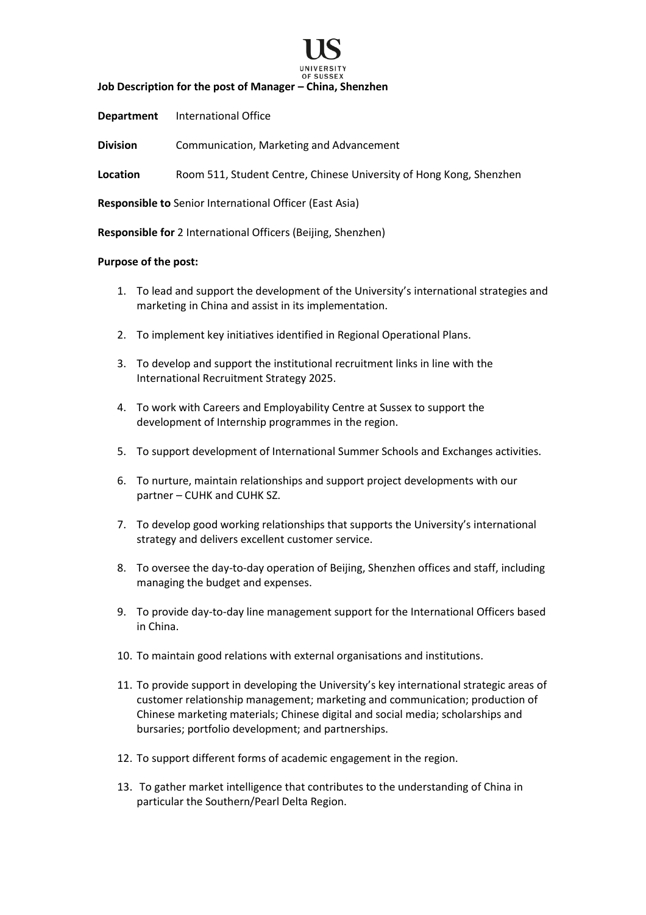

**Job Description for the post of Manager – China, Shenzhen**

**Department** International Office

**Division** Communication, Marketing and Advancement

**Location** Room 511, Student Centre, Chinese University of Hong Kong, Shenzhen

**Responsible to** Senior International Officer (East Asia)

**Responsible for** 2 International Officers (Beijing, Shenzhen)

#### **Purpose of the post:**

- 1. To lead and support the development of the University's international strategies and marketing in China and assist in its implementation.
- 2. To implement key initiatives identified in Regional Operational Plans.
- 3. To develop and support the institutional recruitment links in line with the International Recruitment Strategy 2025.
- 4. To work with Careers and Employability Centre at Sussex to support the development of Internship programmes in the region.
- 5. To support development of International Summer Schools and Exchanges activities.
- 6. To nurture, maintain relationships and support project developments with our partner – CUHK and CUHK SZ.
- 7. To develop good working relationships that supports the University's international strategy and delivers excellent customer service.
- 8. To oversee the day-to-day operation of Beijing, Shenzhen offices and staff, including managing the budget and expenses.
- 9. To provide day-to-day line management support for the International Officers based in China.
- 10. To maintain good relations with external organisations and institutions.
- 11. To provide support in developing the University's key international strategic areas of customer relationship management; marketing and communication; production of Chinese marketing materials; Chinese digital and social media; scholarships and bursaries; portfolio development; and partnerships.
- 12. To support different forms of academic engagement in the region.
- 13. To gather market intelligence that contributes to the understanding of China in particular the Southern/Pearl Delta Region.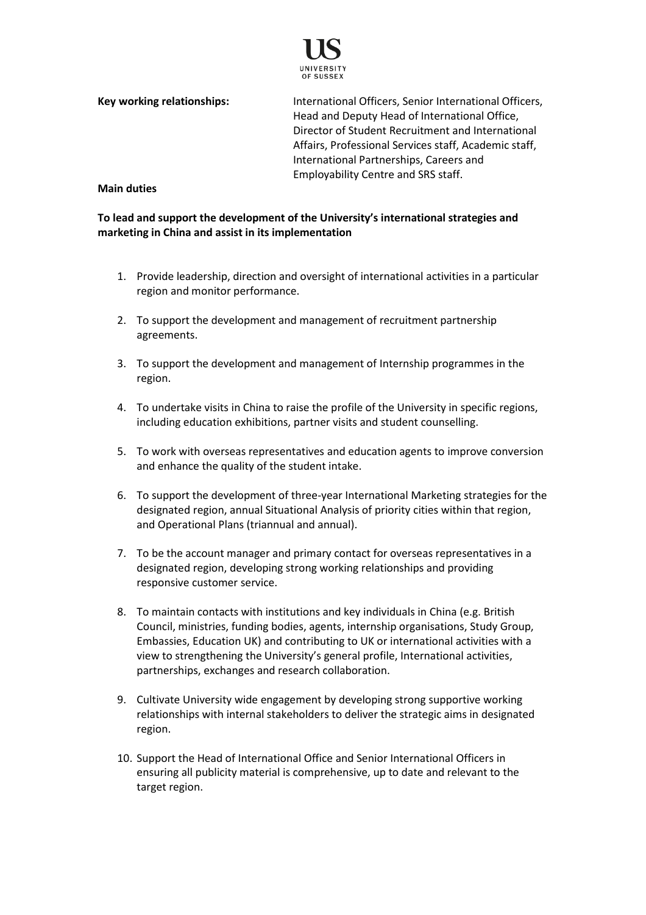

**Key working relationships:** International Officers, Senior International Officers, Head and Deputy Head of International Office, Director of Student Recruitment and International Affairs, Professional Services staff, Academic staff, International Partnerships, Careers and Employability Centre and SRS staff.

#### **Main duties**

**To lead and support the development of the University's international strategies and marketing in China and assist in its implementation**

- 1. Provide leadership, direction and oversight of international activities in a particular region and monitor performance.
- 2. To support the development and management of recruitment partnership agreements.
- 3. To support the development and management of Internship programmes in the region.
- 4. To undertake visits in China to raise the profile of the University in specific regions, including education exhibitions, partner visits and student counselling.
- 5. To work with overseas representatives and education agents to improve conversion and enhance the quality of the student intake.
- 6. To support the development of three-year International Marketing strategies for the designated region, annual Situational Analysis of priority cities within that region, and Operational Plans (triannual and annual).
- 7. To be the account manager and primary contact for overseas representatives in a designated region, developing strong working relationships and providing responsive customer service.
- 8. To maintain contacts with institutions and key individuals in China (e.g. British Council, ministries, funding bodies, agents, internship organisations, Study Group, Embassies, Education UK) and contributing to UK or international activities with a view to strengthening the University's general profile, International activities, partnerships, exchanges and research collaboration.
- 9. Cultivate University wide engagement by developing strong supportive working relationships with internal stakeholders to deliver the strategic aims in designated region.
- 10. Support the Head of International Office and Senior International Officers in ensuring all publicity material is comprehensive, up to date and relevant to the target region.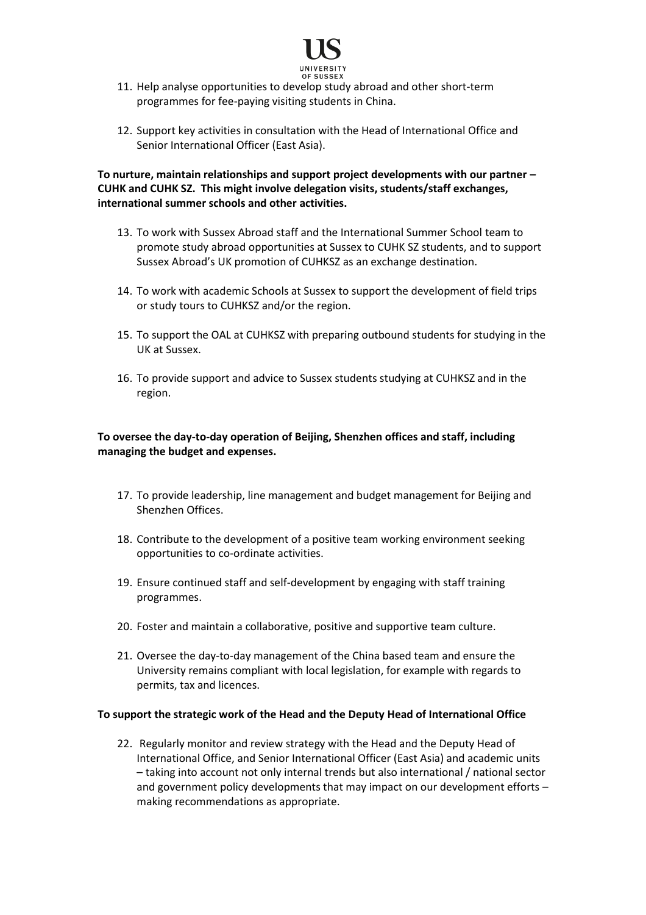

- 11. Help analyse opportunities to develop study abroad and other short-term programmes for fee-paying visiting students in China.
- 12. Support key activities in consultation with the Head of International Office and Senior International Officer (East Asia).

**To nurture, maintain relationships and support project developments with our partner – CUHK and CUHK SZ. This might involve delegation visits, students/staff exchanges, international summer schools and other activities.**

- 13. To work with Sussex Abroad staff and the International Summer School team to promote study abroad opportunities at Sussex to CUHK SZ students, and to support Sussex Abroad's UK promotion of CUHKSZ as an exchange destination.
- 14. To work with academic Schools at Sussex to support the development of field trips or study tours to CUHKSZ and/or the region.
- 15. To support the OAL at CUHKSZ with preparing outbound students for studying in the UK at Sussex.
- 16. To provide support and advice to Sussex students studying at CUHKSZ and in the region.

# **To oversee the day-to-day operation of Beijing, Shenzhen offices and staff, including managing the budget and expenses.**

- 17. To provide leadership, line management and budget management for Beijing and Shenzhen Offices.
- 18. Contribute to the development of a positive team working environment seeking opportunities to co-ordinate activities.
- 19. Ensure continued staff and self-development by engaging with staff training programmes.
- 20. Foster and maintain a collaborative, positive and supportive team culture.
- 21. Oversee the day-to-day management of the China based team and ensure the University remains compliant with local legislation, for example with regards to permits, tax and licences.

### **To support the strategic work of the Head and the Deputy Head of International Office**

22. Regularly monitor and review strategy with the Head and the Deputy Head of International Office, and Senior International Officer (East Asia) and academic units – taking into account not only internal trends but also international / national sector and government policy developments that may impact on our development efforts – making recommendations as appropriate.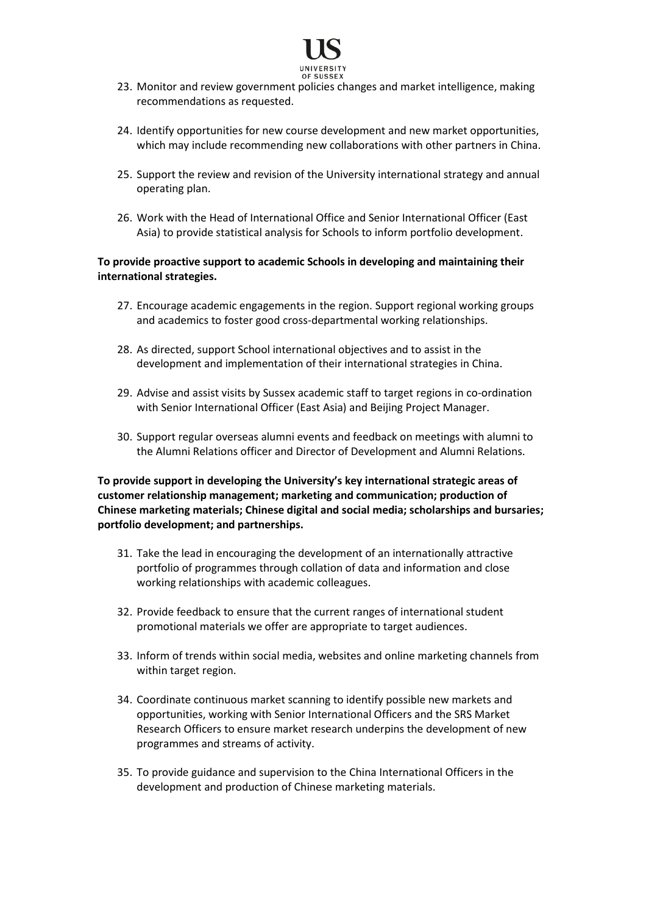

- 23. Monitor and review government policies changes and market intelligence, making recommendations as requested.
- 24. Identify opportunities for new course development and new market opportunities, which may include recommending new collaborations with other partners in China.
- 25. Support the review and revision of the University international strategy and annual operating plan.
- 26. Work with the Head of International Office and Senior International Officer (East Asia) to provide statistical analysis for Schools to inform portfolio development.

### **To provide proactive support to academic Schools in developing and maintaining their international strategies.**

- 27. Encourage academic engagements in the region. Support regional working groups and academics to foster good cross-departmental working relationships.
- 28. As directed, support School international objectives and to assist in the development and implementation of their international strategies in China.
- 29. Advise and assist visits by Sussex academic staff to target regions in co-ordination with Senior International Officer (East Asia) and Beijing Project Manager.
- 30. Support regular overseas alumni events and feedback on meetings with alumni to the Alumni Relations officer and Director of Development and Alumni Relations.

**To provide support in developing the University's key international strategic areas of customer relationship management; marketing and communication; production of Chinese marketing materials; Chinese digital and social media; scholarships and bursaries; portfolio development; and partnerships.**

- 31. Take the lead in encouraging the development of an internationally attractive portfolio of programmes through collation of data and information and close working relationships with academic colleagues.
- 32. Provide feedback to ensure that the current ranges of international student promotional materials we offer are appropriate to target audiences.
- 33. Inform of trends within social media, websites and online marketing channels from within target region.
- 34. Coordinate continuous market scanning to identify possible new markets and opportunities, working with Senior International Officers and the SRS Market Research Officers to ensure market research underpins the development of new programmes and streams of activity.
- 35. To provide guidance and supervision to the China International Officers in the development and production of Chinese marketing materials.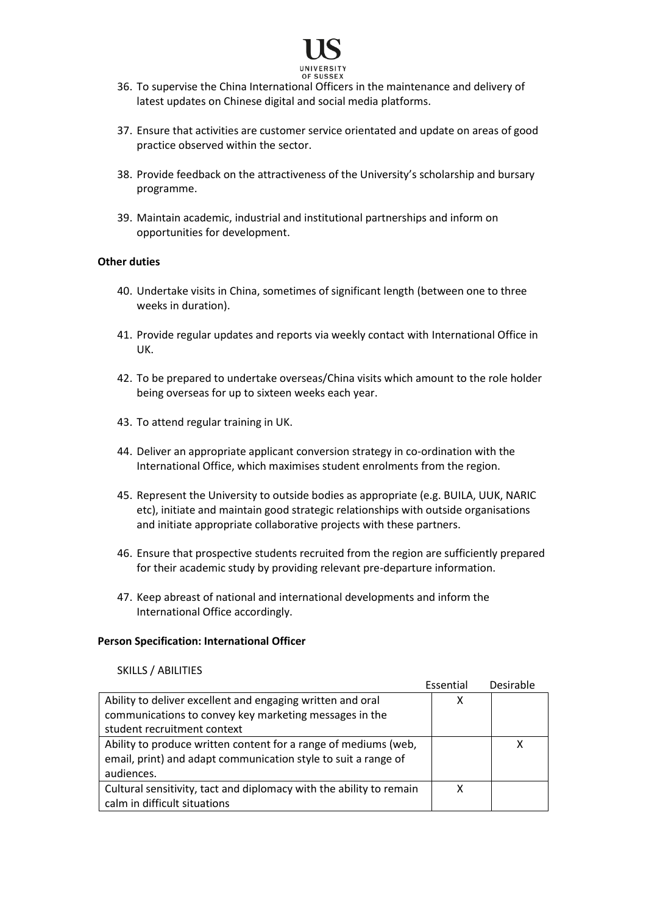

# 36. To supervise the China International Officers in the maintenance and delivery of latest updates on Chinese digital and social media platforms.

- 37. Ensure that activities are customer service orientated and update on areas of good practice observed within the sector.
- 38. Provide feedback on the attractiveness of the University's scholarship and bursary programme.
- 39. Maintain academic, industrial and institutional partnerships and inform on opportunities for development.

### **Other duties**

- 40. Undertake visits in China, sometimes of significant length (between one to three weeks in duration).
- 41. Provide regular updates and reports via weekly contact with International Office in UK.
- 42. To be prepared to undertake overseas/China visits which amount to the role holder being overseas for up to sixteen weeks each year.
- 43. To attend regular training in UK.
- 44. Deliver an appropriate applicant conversion strategy in co-ordination with the International Office, which maximises student enrolments from the region.
- 45. Represent the University to outside bodies as appropriate (e.g. BUILA, UUK, NARIC etc), initiate and maintain good strategic relationships with outside organisations and initiate appropriate collaborative projects with these partners.
- 46. Ensure that prospective students recruited from the region are sufficiently prepared for their academic study by providing relevant pre-departure information.
- 47. Keep abreast of national and international developments and inform the International Office accordingly.

#### **Person Specification: International Officer**

#### SKILLS / ABILITIES

|                                                                     | Essential | Desirable |
|---------------------------------------------------------------------|-----------|-----------|
| Ability to deliver excellent and engaging written and oral          | x         |           |
| communications to convey key marketing messages in the              |           |           |
| student recruitment context                                         |           |           |
| Ability to produce written content for a range of mediums (web,     |           |           |
| email, print) and adapt communication style to suit a range of      |           |           |
| audiences.                                                          |           |           |
| Cultural sensitivity, tact and diplomacy with the ability to remain |           |           |
| calm in difficult situations                                        |           |           |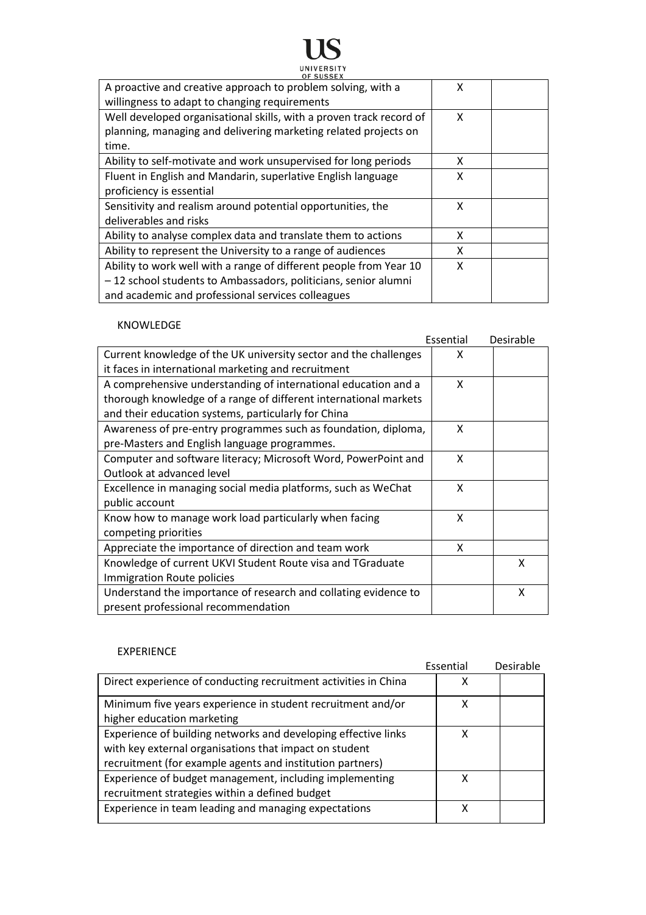# **119** UNIVERSITY

| UF SUSSEA<br>A proactive and creative approach to problem solving, with a<br>willingness to adapt to changing requirements                                                                | x |  |
|-------------------------------------------------------------------------------------------------------------------------------------------------------------------------------------------|---|--|
| Well developed organisational skills, with a proven track record of<br>planning, managing and delivering marketing related projects on<br>time.                                           | X |  |
| Ability to self-motivate and work unsupervised for long periods                                                                                                                           | x |  |
| Fluent in English and Mandarin, superlative English language<br>proficiency is essential                                                                                                  | x |  |
| Sensitivity and realism around potential opportunities, the<br>deliverables and risks                                                                                                     | x |  |
| Ability to analyse complex data and translate them to actions                                                                                                                             | x |  |
| Ability to represent the University to a range of audiences                                                                                                                               | x |  |
| Ability to work well with a range of different people from Year 10<br>-12 school students to Ambassadors, politicians, senior alumni<br>and academic and professional services colleagues | x |  |

# KNOWLEDGE

|                                                                  | Essential | Desirable |
|------------------------------------------------------------------|-----------|-----------|
| Current knowledge of the UK university sector and the challenges | x         |           |
| it faces in international marketing and recruitment              |           |           |
| A comprehensive understanding of international education and a   | X         |           |
| thorough knowledge of a range of different international markets |           |           |
| and their education systems, particularly for China              |           |           |
| Awareness of pre-entry programmes such as foundation, diploma,   | X         |           |
| pre-Masters and English language programmes.                     |           |           |
| Computer and software literacy; Microsoft Word, PowerPoint and   | X         |           |
| Outlook at advanced level                                        |           |           |
| Excellence in managing social media platforms, such as WeChat    | x         |           |
| public account                                                   |           |           |
| Know how to manage work load particularly when facing            | X         |           |
| competing priorities                                             |           |           |
| Appreciate the importance of direction and team work             | X         |           |
| Knowledge of current UKVI Student Route visa and TGraduate       |           | x         |
| Immigration Route policies                                       |           |           |
| Understand the importance of research and collating evidence to  |           | x         |
| present professional recommendation                              |           |           |

# EXPERIENCE

|                                                                 | Essential | Desirable |
|-----------------------------------------------------------------|-----------|-----------|
| Direct experience of conducting recruitment activities in China |           |           |
| Minimum five years experience in student recruitment and/or     | x         |           |
| higher education marketing                                      |           |           |
| Experience of building networks and developing effective links  | x         |           |
| with key external organisations that impact on student          |           |           |
| recruitment (for example agents and institution partners)       |           |           |
| Experience of budget management, including implementing         | x         |           |
| recruitment strategies within a defined budget                  |           |           |
| Experience in team leading and managing expectations            | x         |           |